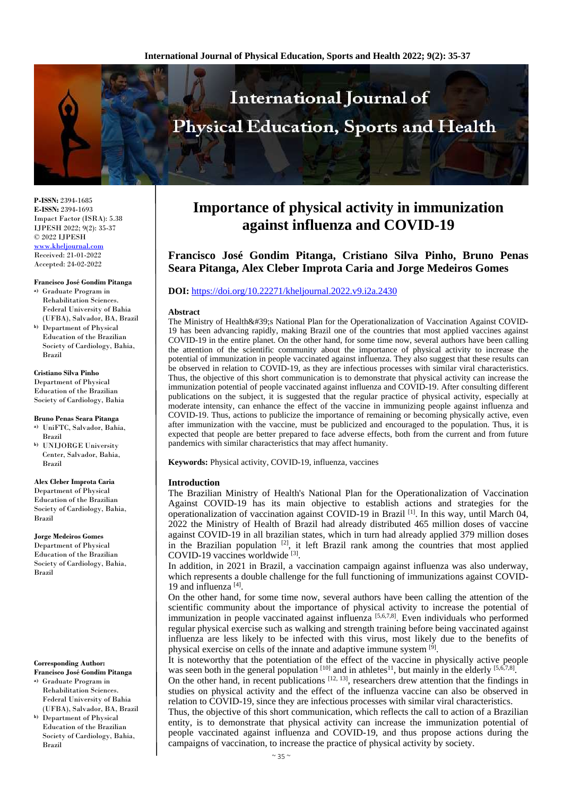

**P-ISSN:** 2394-1685 **E-ISSN:** 2394-1693 Impact Factor (ISRA): 5.38 IJPESH 2022; 9(2): 35-37 © 2022 IJPESH [www.kheljournal.com](http://www.kheljournal.com/) Received: 21-01-2022

Accepted: 24-02-2022

#### **Francisco José Gondim Pitanga**

- **a)** Graduate Program in Rehabilitation Sciences. Federal University of Bahia (UFBA), Salvador, BA, Brazil
- **b)** Department of Physical Education of the Brazilian Society of Cardiology, Bahia, Brazil

#### **Cristiano Silva Pinho**

Department of Physical Education of the Brazilian Society of Cardiology, Bahia

**Bruno Penas Seara Pitanga a)** UniFTC, Salvador, Bahia,

- Brazil
- **b)** UNIJORGE University Center, Salvador, Bahia, Brazil

#### **Alex Cleber Improta Caria**

Department of Physical Education of the Brazilian Society of Cardiology, Bahia, Brazil

### **Jorge Medeiros Gomes**

Department of Physical Education of the Brazilian Society of Cardiology, Bahia, Brazil

#### **Corresponding Author: Francisco José Gondim Pitanga**

- **a)** Graduate Program in Rehabilitation Sciences. Federal University of Bahia (UFBA), Salvador, BA, Brazil
- **b)** Department of Physical Education of the Brazilian Society of Cardiology, Bahia, Brazil

# **Importance of physical activity in immunization against influenza and COVID-19**

**Francisco José Gondim Pitanga, Cristiano Silva Pinho, Bruno Penas Seara Pitanga, Alex Cleber Improta Caria and Jorge Medeiros Gomes**

## **DOI:** <https://doi.org/10.22271/kheljournal.2022.v9.i2a.2430>

#### **Abstract**

The Ministry of Health's National Plan for the Operationalization of Vaccination Against COVID-19 has been advancing rapidly, making Brazil one of the countries that most applied vaccines against COVID-19 in the entire planet. On the other hand, for some time now, several authors have been calling the attention of the scientific community about the importance of physical activity to increase the potential of immunization in people vaccinated against influenza. They also suggest that these results can be observed in relation to COVID-19, as they are infectious processes with similar viral characteristics. Thus, the objective of this short communication is to demonstrate that physical activity can increase the immunization potential of people vaccinated against influenza and COVID-19. After consulting different publications on the subject, it is suggested that the regular practice of physical activity, especially at moderate intensity, can enhance the effect of the vaccine in immunizing people against influenza and COVID-19. Thus, actions to publicize the importance of remaining or becoming physically active, even after immunization with the vaccine, must be publicized and encouraged to the population. Thus, it is expected that people are better prepared to face adverse effects, both from the current and from future pandemics with similar characteristics that may affect humanity.

**Keywords:** Physical activity, COVID-19, influenza, vaccines

### **Introduction**

The Brazilian Ministry of Health's National Plan for the Operationalization of Vaccination Against COVID-19 has its main objective to establish actions and strategies for the operationalization of vaccination against COVID-19 in Brazil  $^{[1]}$ . In this way, until March 04, 2022 the Ministry of Health of Brazil had already distributed 465 million doses of vaccine against COVID-19 in all brazilian states, which in turn had already applied 379 million doses in the Brazilian population  $[2]$ , it left Brazil rank among the countries that most applied COVID-19 vaccines worldwide<sup>[3]</sup>.

In addition, in 2021 in Brazil, a vaccination campaign against influenza was also underway, which represents a double challenge for the full functioning of immunizations against COVID-19 and influenza<sup>[4]</sup>.

On the other hand, for some time now, several authors have been calling the attention of the scientific community about the importance of physical activity to increase the potential of immunization in people vaccinated against influenza  $[5,6,7,8]$ . Even individuals who performed regular physical exercise such as walking and strength training before being vaccinated against influenza are less likely to be infected with this virus, most likely due to the benefits of physical exercise on cells of the innate and adaptive immune system <sup>[9]</sup>.

It is noteworthy that the potentiation of the effect of the vaccine in physically active people was seen both in the general population  $[10]$  and in athletes<sup>11</sup>, but mainly in the elderly  $[5,6,7,8]$ .

On the other hand, in recent publications  $[12, 13]$ , researchers drew attention that the findings in studies on physical activity and the effect of the influenza vaccine can also be observed in relation to COVID-19, since they are infectious processes with similar viral characteristics.

Thus, the objective of this short communication, which reflects the call to action of a Brazilian entity, is to demonstrate that physical activity can increase the immunization potential of people vaccinated against influenza and COVID-19, and thus propose actions during the campaigns of vaccination, to increase the practice of physical activity by society.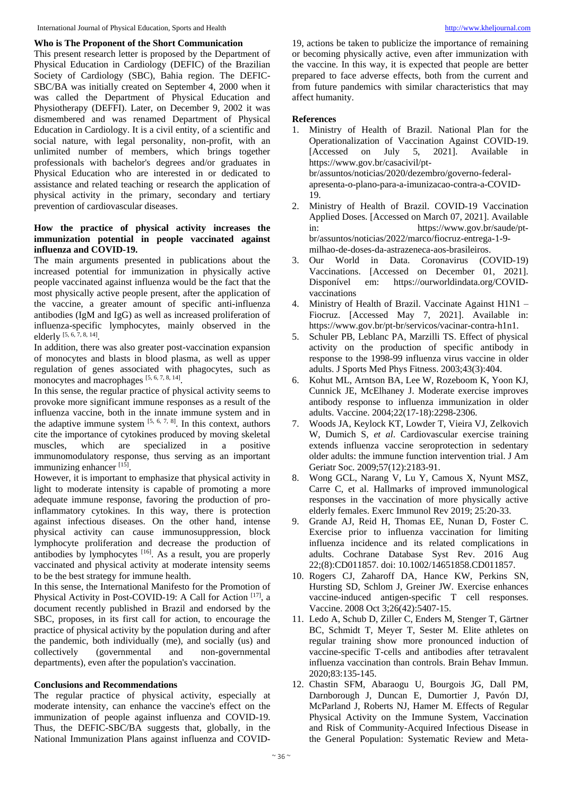#### **Who is The Proponent of the Short Communication**

This present research letter is proposed by the Department of Physical Education in Cardiology (DEFIC) of the Brazilian Society of Cardiology (SBC), Bahia region. The DEFIC-SBC/BA was initially created on September 4, 2000 when it was called the Department of Physical Education and Physiotherapy (DEFFI). Later, on December 9, 2002 it was dismembered and was renamed Department of Physical Education in Cardiology. It is a civil entity, of a scientific and social nature, with legal personality, non-profit, with an unlimited number of members, which brings together professionals with bachelor's degrees and/or graduates in Physical Education who are interested in or dedicated to assistance and related teaching or research the application of physical activity in the primary, secondary and tertiary prevention of cardiovascular diseases.

## **How the practice of physical activity increases the immunization potential in people vaccinated against influenza and COVID-19.**

The main arguments presented in publications about the increased potential for immunization in physically active people vaccinated against influenza would be the fact that the most physically active people present, after the application of the vaccine, a greater amount of specific anti-influenza antibodies (IgM and IgG) as well as increased proliferation of influenza-specific lymphocytes, mainly observed in the elderly [5, 6, 7, 8, 14] .

In addition, there was also greater post-vaccination expansion of monocytes and blasts in blood plasma, as well as upper regulation of genes associated with phagocytes, such as monocytes and macrophages [5, 6, 7, 8, 14].

In this sense, the regular practice of physical activity seems to provoke more significant immune responses as a result of the influenza vaccine, both in the innate immune system and in the adaptive immune system  $[5, 6, 7, 8]$ . In this context, authors cite the importance of cytokines produced by moving skeletal muscles, which are specialized in a positive immunomodulatory response, thus serving as an important immunizing enhancer<sup>[15]</sup>.

However, it is important to emphasize that physical activity in light to moderate intensity is capable of promoting a more adequate immune response, favoring the production of proinflammatory cytokines. In this way, there is protection against infectious diseases. On the other hand, intense physical activity can cause immunosuppression, block lymphocyte proliferation and decrease the production of antibodies by lymphocytes  $[16]$ . As a result, you are properly vaccinated and physical activity at moderate intensity seems to be the best strategy for immune health.

In this sense, the International Manifesto for the Promotion of Physical Activity in Post-COVID-19: A Call for Action [17], a document recently published in Brazil and endorsed by the SBC, proposes, in its first call for action, to encourage the practice of physical activity by the population during and after the pandemic, both individually (me), and socially (us) and collectively (governmental and non-governmental departments), even after the population's vaccination.

### **Conclusions and Recommendations**

The regular practice of physical activity, especially at moderate intensity, can enhance the vaccine's effect on the immunization of people against influenza and COVID-19. Thus, the DEFIC-SBC/BA suggests that, globally, in the National Immunization Plans against influenza and COVID-

19, actions be taken to publicize the importance of remaining or becoming physically active, even after immunization with the vaccine. In this way, it is expected that people are better prepared to face adverse effects, both from the current and from future pandemics with similar characteristics that may affect humanity.

## **References**

- 1. Ministry of Health of Brazil. National Plan for the Operationalization of Vaccination Against COVID-19. [Accessed on July 5, 2021]. Available in https://www.gov.br/casacivil/ptbr/assuntos/noticias/2020/dezembro/governo-federalapresenta-o-plano-para-a-imunizacao-contra-a-COVID-19.
- 2. Ministry of Health of Brazil. COVID-19 Vaccination Applied Doses. [Accessed on March 07, 2021]. Available in: https://www.gov.br/saude/ptbr/assuntos/noticias/2022/marco/fiocruz-entrega-1-9 milhao-de-doses-da-astrazeneca-aos-brasileiros.
- 3. Our World in Data. Coronavirus (COVID-19) Vaccinations. [Accessed on December 01, 2021]. Disponível em: https://ourworldindata.org/COVIDvaccinations
- 4. Ministry of Health of Brazil. Vaccinate Against H1N1 Fiocruz. [Accessed May 7, 2021]. Available in: https://www.gov.br/pt-br/servicos/vacinar-contra-h1n1.
- 5. Schuler PB, Leblanc PA, Marzilli TS. Effect of physical activity on the production of specific antibody in response to the 1998-99 influenza virus vaccine in older adults. J Sports Med Phys Fitness. 2003;43(3):404.
- 6. Kohut ML, Arntson BA, Lee W, Rozeboom K, Yoon KJ, Cunnick JE, McElhaney J. Moderate exercise improves antibody response to influenza immunization in older adults. Vaccine. 2004;22(17-18):2298-2306.
- 7. Woods JA, Keylock KT, Lowder T, Vieira VJ, Zelkovich W, Dumich S, *et al*. Cardiovascular exercise training extends influenza vaccine seroprotection in sedentary older adults: the immune function intervention trial. J Am Geriatr Soc. 2009;57(12):2183-91.
- 8. Wong GCL, Narang V, Lu Y, Camous X, Nyunt MSZ, Carre C, et al. Hallmarks of improved immunological responses in the vaccination of more physically active elderly females. Exerc Immunol Rev 2019; 25:20-33.
- 9. Grande AJ, Reid H, Thomas EE, Nunan D, Foster C. Exercise prior to influenza vaccination for limiting influenza incidence and its related complications in adults. Cochrane Database Syst Rev. 2016 Aug 22;(8):CD011857. doi: 10.1002/14651858.CD011857.
- 10. Rogers CJ, Zaharoff DA, Hance KW, Perkins SN, Hursting SD, Schlom J, Greiner JW. Exercise enhances vaccine-induced antigen-specific T cell responses. Vaccine. 2008 Oct 3;26(42):5407-15.
- 11. Ledo A, Schub D, Ziller C, Enders M, Stenger T, Gärtner BC, Schmidt T, Meyer T, Sester M. Elite athletes on regular training show more pronounced induction of vaccine-specific T-cells and antibodies after tetravalent influenza vaccination than controls. Brain Behav Immun. 2020;83:135-145.
- 12. Chastin SFM, Abaraogu U, Bourgois JG, Dall PM, Darnborough J, Duncan E, Dumortier J, Pavón DJ, McParland J, Roberts NJ, Hamer M. Effects of Regular Physical Activity on the Immune System, Vaccination and Risk of Community-Acquired Infectious Disease in the General Population: Systematic Review and Meta-